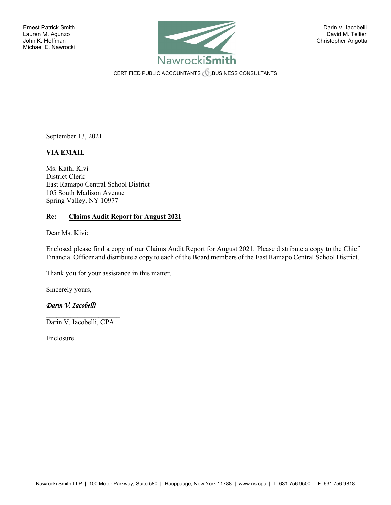

CERTIFIED PUBLIC ACCOUNTANTS **CERTIFIED PUBLIC ACCOUNTANTS** 

September 13, 2021

# **VIA EMAIL**

Ms. Kathi Kivi District Clerk East Ramapo Central School District 105 South Madison Avenue Spring Valley, NY 10977

#### **Re: Claims Audit Report for August 2021**

Dear Ms. Kivi:

Enclosed please find a copy of our Claims Audit Report for August 2021. Please distribute a copy to the Chief Financial Officer and distribute a copy to each of the Board members of the East Ramapo Central School District.

Thank you for your assistance in this matter.

Sincerely yours,

## *Darin V. Iacobelli*

 $\mathcal{L}_\text{max}$  , where  $\mathcal{L}_\text{max}$  , we have the set of the set of the set of the set of the set of the set of the set of the set of the set of the set of the set of the set of the set of the set of the set of the set of Darin V. Iacobelli, CPA

Enclosure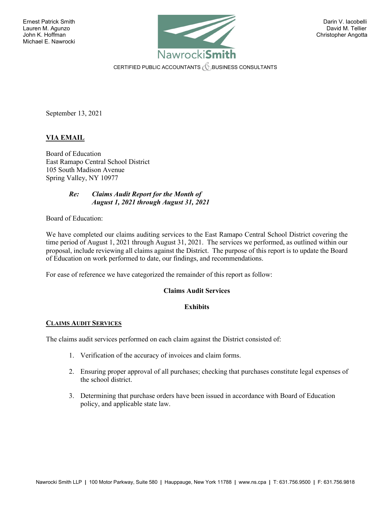

CERTIFIED PUBLIC ACCOUNTANTS  $\mathcal C$  business consultants

September 13, 2021

# **VIA EMAIL**

Board of Education East Ramapo Central School District 105 South Madison Avenue Spring Valley, NY 10977

#### *Re: Claims Audit Report for the Month of August 1, 2021 through August 31, 2021*

Board of Education:

We have completed our claims auditing services to the East Ramapo Central School District covering the time period of August 1, 2021 through August 31, 2021. The services we performed, as outlined within our proposal, include reviewing all claims against the District. The purpose of this report is to update the Board of Education on work performed to date, our findings, and recommendations.

For ease of reference we have categorized the remainder of this report as follow:

## **Claims Audit Services**

## **Exhibits**

## **CLAIMS AUDIT SERVICES**

The claims audit services performed on each claim against the District consisted of:

- 1. Verification of the accuracy of invoices and claim forms.
- 2. Ensuring proper approval of all purchases; checking that purchases constitute legal expenses of the school district.
- 3. Determining that purchase orders have been issued in accordance with Board of Education policy, and applicable state law.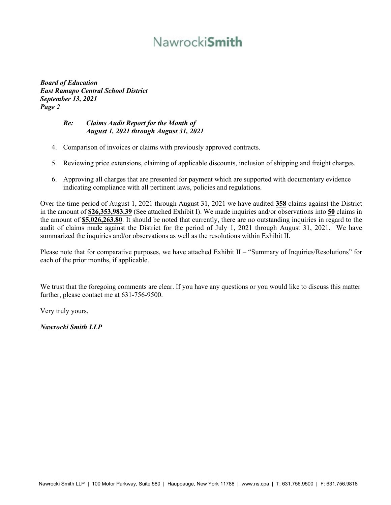# Nawrocki**Smith**

*Board of Education East Ramapo Central School District September 13, 2021 Page 2*

#### *Re: Claims Audit Report for the Month of August 1, 2021 through August 31, 2021*

- 4. Comparison of invoices or claims with previously approved contracts.
- 5. Reviewing price extensions, claiming of applicable discounts, inclusion of shipping and freight charges.
- 6. Approving all charges that are presented for payment which are supported with documentary evidence indicating compliance with all pertinent laws, policies and regulations.

Over the time period of August 1, 2021 through August 31, 2021 we have audited **358** claims against the District in the amount of **\$26,353,983.39** (See attached Exhibit I). We made inquiries and/or observations into **50** claims in the amount of **\$5,026,263.80**. It should be noted that currently, there are no outstanding inquiries in regard to the audit of claims made against the District for the period of July 1, 2021 through August 31, 2021. We have summarized the inquiries and/or observations as well as the resolutions within Exhibit II.

Please note that for comparative purposes, we have attached Exhibit II – "Summary of Inquiries/Resolutions" for each of the prior months, if applicable.

We trust that the foregoing comments are clear. If you have any questions or you would like to discuss this matter further, please contact me at 631-756-9500.

Very truly yours,

*Nawrocki Smith LLP*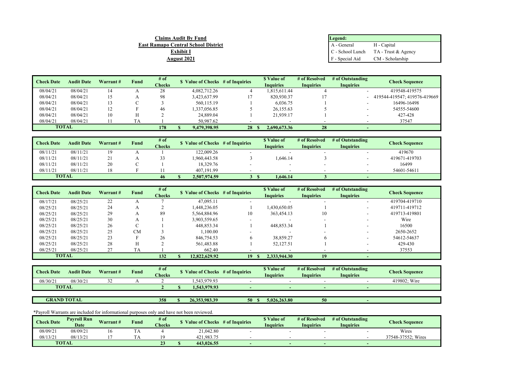| Claims Audit Bv Fund                       | Legend:         |                                          |
|--------------------------------------------|-----------------|------------------------------------------|
| <b>East Ramapo Central School District</b> | A - General     | H - Capital                              |
| <b>Exhibit I</b>                           |                 | $C$ - School Lunch $TA$ - Trust & Agency |
| August 2021                                | F - Special Aid | CM - Scholarship                         |

| <b>Check Date</b> | <b>Audit Date</b> | Warrant# | Fund | # of          | \$ Value of Checks # of Inquiries |    | \$ Value of      | # of Resolved    | # of Outstanding         | <b>Check Sequence</b>        |
|-------------------|-------------------|----------|------|---------------|-----------------------------------|----|------------------|------------------|--------------------------|------------------------------|
|                   |                   |          |      | <b>Checks</b> |                                   |    | <b>Inquiries</b> | <b>Inquiries</b> | <b>Inquiries</b>         |                              |
| 08/04/21          | 08/04/21          | 14       |      | 28            | 4,082,712.26                      |    | 1.815.611.44     |                  | $\overline{\phantom{a}}$ | 419548-419575                |
| 08/04/21          | 08/04/21          | 15       |      | 98            | 3.423.637.99                      |    | 820,930.37       |                  | $\overline{\phantom{a}}$ | 419544-419547: 419576-419669 |
| 08/04/21          | 08/04/21          | 13       |      |               | 560,115.19                        |    | 6,036.75         |                  | $\overline{\phantom{a}}$ | 16496-16498                  |
| 08/04/21          | 08/04/21          | 12       |      | 46            | .337,056.85                       |    | 26,155.63        |                  | $\overline{\phantom{0}}$ | 54555-54600                  |
| 08/04/21          | 08/04/21          | 10       |      |               | 24,889.04                         |    | 21,939.17        |                  | $\overline{\phantom{a}}$ | 427-428                      |
| 08/04/21          | 08/04/21          |          | TA   |               | 50,987.62                         |    |                  |                  |                          | 37547                        |
| <b>TOTAL</b>      |                   |          |      | 178           | 9.479.398.95                      | 28 | 2,690,673.36     | 28               |                          |                              |

| <b>Check Date</b> | <b>Audit Date</b> | Warrant# | Fund | # of<br><b>Checks</b> | Value of Checks # of Inquiries | \$ Value of<br><b>Inquiries</b> | # of Resolved<br><b>Inquiries</b> | # of Outstanding<br><b>Inquiries</b> | Check Sequence |
|-------------------|-------------------|----------|------|-----------------------|--------------------------------|---------------------------------|-----------------------------------|--------------------------------------|----------------|
| 08/11/21          | 08/11/21          | 19       |      |                       | 122,009.26                     |                                 |                                   |                                      | 419670         |
| 08/11/21          | 08/11/21          |          |      |                       | 1.960.443.58                   | .646.14                         |                                   | -                                    | 419671-419703  |
| 08/11/21          | 08/11/21          | 20       |      |                       | 18,329.76                      |                                 | $\overline{\phantom{a}}$          |                                      | 16499          |
| 08/11/21          | 08/11/21          | 18       |      |                       | 407,191.99                     |                                 |                                   |                                      | 54601-54611    |
| <b>TOTAL</b>      |                   |          |      | 46                    | 2,507,974.59                   | 1.646.14                        |                                   |                                      |                |

| <b>Check Date</b> | <b>Audit Date</b> | Warrant# | Fund      | $#$ of        | <b>S</b> Value of Checks # of Inquiries |    | \$ Value of      | # of Resolved            | # of Outstanding         | <b>Check Sequence</b> |
|-------------------|-------------------|----------|-----------|---------------|-----------------------------------------|----|------------------|--------------------------|--------------------------|-----------------------|
|                   |                   |          |           | <b>Checks</b> |                                         |    | <b>Inquiries</b> | <b>Inquiries</b>         | <b>Inquiries</b>         |                       |
| 08/17/21          | 08/25/21          | 22       |           |               | 47,095.11                               |    |                  |                          |                          | 419704-419710         |
| 08/25/21          | 08/25/21          | 24       |           |               | 1.448.236.05                            |    | 1,430,650.05     |                          | $\overline{\phantom{a}}$ | 419711-419712         |
| 08/25/21          | 08/25/21          | 29       |           | 89            | 5.564.884.96                            | 10 | 363,454.13       | 10                       | $\overline{\phantom{a}}$ | 419713-419801         |
| 08/25/21          | 08/25/21          | 30       |           |               | 3,903,559.65                            |    |                  | $\overline{\phantom{a}}$ |                          | Wire                  |
| 08/25/21          | 08/25/21          | 26       | $\sim$    |               | 448,853.34                              |    | 448,853.34       |                          | $\overline{\phantom{0}}$ | 16500                 |
| 08/25/21          | 08/25/21          | 25       | <b>CM</b> |               | 1.100.00                                |    |                  | $\overline{\phantom{a}}$ | $\overline{\phantom{a}}$ | 2650-2652             |
| 08/25/21          | 08/25/21          | 23       |           | 26            | 846,754.53                              | n  | 38,859.27        |                          |                          | 54612-54637           |
| 08/25/21          | 08/25/21          | 28       |           |               | 561,483.88                              |    | 52,127.51        |                          |                          | 429-430               |
| 08/25/21          | 08/25/21          |          | <b>TA</b> |               | 662.40                                  |    |                  |                          |                          | 37553                 |
| <b>TOTAL</b>      |                   |          |           | 132           | 12,822,629.92                           | 19 | 2.333.944.30     | 19                       |                          |                       |

| <b>Check Date</b> | Audit Date | Warrant# | Fund | # of<br><b>Checks</b> | Value of Checks | # of Inquiries |  | # of Resolved<br>Inauiries | # of Outstanding<br><b>Inquiries</b> | <b><i>Check Sequence</i></b> |
|-------------------|------------|----------|------|-----------------------|-----------------|----------------|--|----------------------------|--------------------------------------|------------------------------|
| 08/30/2           | 08/30/21   | ے ر      |      |                       | 1.543.979.93    |                |  |                            |                                      | 419802: Wire                 |
| <b>TOTAL</b>      |            |          |      |                       | .543.979.93     |                |  |                            |                                      |                              |
|                   |            |          |      |                       |                 |                |  |                            |                                      |                              |

**358 \$ 26,353,983.39 50 \$ 5,026,263.80 50 - GRAND TOTAL**

| <b>Check Date</b> | <b>Pavroll Run</b><br>Date | Warrant# | Fund | # of<br><b>Checks</b> | Value of Checks | # of Inquiries | <sup><i><b>v</b></i> Value of </sup><br>$\sim$<br>Inquiries | # of Resolved<br>Inquiries | # of Outstanding<br>Inquiries | Check Sequence     |
|-------------------|----------------------------|----------|------|-----------------------|-----------------|----------------|-------------------------------------------------------------|----------------------------|-------------------------------|--------------------|
| 08/09/21          | 08/09/21                   | 10       | .    |                       | 21,042.80       |                |                                                             |                            |                               | Wires              |
| 08/13/21          | 08/13/2!                   |          |      |                       | 421,983.75      |                |                                                             |                            |                               | 37548-37552: Wires |
|                   | <b>TOTAL</b>               |          |      |                       | 443,026.55      |                | $\sim$                                                      |                            |                               |                    |